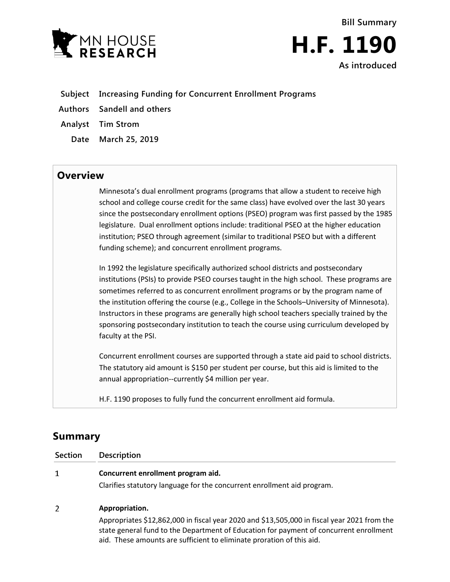

**Bill Summary H.F. 1190 As introduced**

- **Subject Increasing Funding for Concurrent Enrollment Programs**
- **Authors Sandell and others**
- **Analyst Tim Strom**
	- **Date March 25, 2019**

## **Overview**

Minnesota's dual enrollment programs (programs that allow a student to receive high school and college course credit for the same class) have evolved over the last 30 years since the postsecondary enrollment options (PSEO) program was first passed by the 1985 legislature. Dual enrollment options include: traditional PSEO at the higher education institution; PSEO through agreement (similar to traditional PSEO but with a different funding scheme); and concurrent enrollment programs.

In 1992 the legislature specifically authorized school districts and postsecondary institutions (PSIs) to provide PSEO courses taught in the high school. These programs are sometimes referred to as concurrent enrollment programs or by the program name of the institution offering the course (e.g., College in the Schools–University of Minnesota). Instructors in these programs are generally high school teachers specially trained by the sponsoring postsecondary institution to teach the course using curriculum developed by faculty at the PSI.

Concurrent enrollment courses are supported through a state aid paid to school districts. The statutory aid amount is \$150 per student per course, but this aid is limited to the annual appropriation--currently \$4 million per year.

H.F. 1190 proposes to fully fund the concurrent enrollment aid formula.

## **Summary**

| Section | <b>Description</b>                                                      |
|---------|-------------------------------------------------------------------------|
| 1       | Concurrent enrollment program aid.                                      |
|         | Clarifies statutory language for the concurrent enrollment aid program. |
| 2       | Appropriation.                                                          |
|         | .<br>.                                                                  |

Appropriates \$12,862,000 in fiscal year 2020 and \$13,505,000 in fiscal year 2021 from the state general fund to the Department of Education for payment of concurrent enrollment aid. These amounts are sufficient to eliminate proration of this aid.